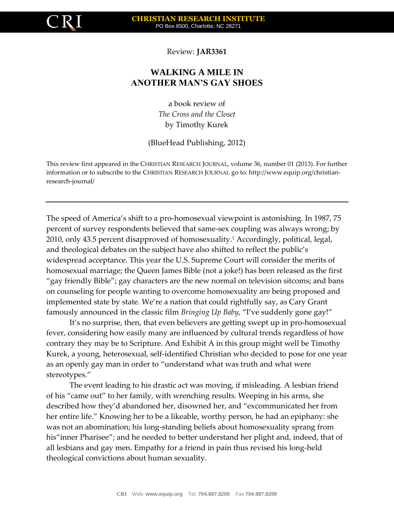

Review: **JAR3361**

## **WALKING A MILE IN ANOTHER MAN'S GAY SHOES**

a book review of *The Cross and the Closet* by Timothy Kurek

(BlueHead Publishing, 2012)

This review first appeared in the CHRISTIAN RESEARCH JOURNAL, volume 36, number 01 (2013). For further information or to subscribe to the CHRISTIAN RESEARCH JOURNAL go to: http://www.equip.org/christianresearch-journal/

The speed of America's shift to a pro-homosexual viewpoint is astonishing. In 1987, 75 percent of survey respondents believed that same-sex coupling was always wrong; by 2010, only 43.5 percent disapproved of homosexuality.<sup>1</sup> Accordingly, political, legal, and theological debates on the subject have also shifted to reflect the public's widespread acceptance. This year the U.S. Supreme Court will consider the merits of homosexual marriage; the Queen James Bible (not a joke!) has been released as the first "gay friendly Bible"; gay characters are the new normal on television sitcoms; and bans on counseling for people wanting to overcome homosexuality are being proposed and implemented state by state. We're a nation that could rightfully say, as Cary Grant famously announced in the classic film *Bringing Up Baby*, "I've suddenly gone gay!"

It's no surprise, then, that even believers are getting swept up in pro-homosexual fever, considering how easily many are influenced by cultural trends regardless of how contrary they may be to Scripture. And Exhibit A in this group might well be Timothy Kurek, a young, heterosexual, self-identified Christian who decided to pose for one year as an openly gay man in order to "understand what was truth and what were stereotypes."

The event leading to his drastic act was moving, if misleading. A lesbian friend of his "came out" to her family, with wrenching results. Weeping in his arms, she described how they'd abandoned her, disowned her, and "excommunicated her from her entire life." Knowing her to be a likeable, worthy person, he had an epiphany: she was not an abomination; his long-standing beliefs about homosexuality sprang from his"inner Pharisee"; and he needed to better understand her plight and, indeed, that of all lesbians and gay men. Empathy for a friend in pain thus revised his long-held theological convictions about human sexuality.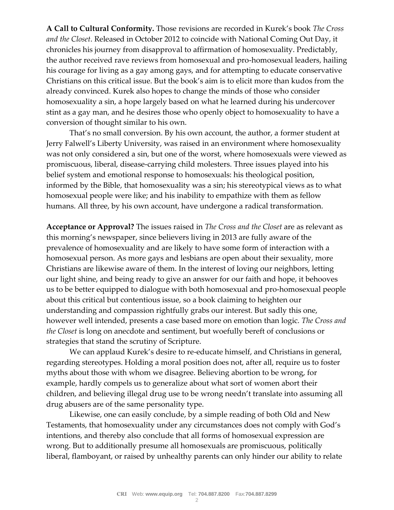**A Call to Cultural Conformity.** Those revisions are recorded in Kurek's book *The Cross and the Closet*. Released in October 2012 to coincide with National Coming Out Day, it chronicles his journey from disapproval to affirmation of homosexuality. Predictably, the author received rave reviews from homosexual and pro-homosexual leaders, hailing his courage for living as a gay among gays, and for attempting to educate conservative Christians on this critical issue. But the book's aim is to elicit more than kudos from the already convinced. Kurek also hopes to change the minds of those who consider homosexuality a sin, a hope largely based on what he learned during his undercover stint as a gay man, and he desires those who openly object to homosexuality to have a conversion of thought similar to his own.

That's no small conversion. By his own account, the author, a former student at Jerry Falwell's Liberty University, was raised in an environment where homosexuality was not only considered a sin, but one of the worst, where homosexuals were viewed as promiscuous, liberal, disease-carrying child molesters. Three issues played into his belief system and emotional response to homosexuals: his theological position, informed by the Bible, that homosexuality was a sin; his stereotypical views as to what homosexual people were like; and his inability to empathize with them as fellow humans. All three, by his own account, have undergone a radical transformation.

**Acceptance or Approval?** The issues raised in *The Cross and the Closet* are as relevant as this morning's newspaper, since believers living in 2013 are fully aware of the prevalence of homosexuality and are likely to have some form of interaction with a homosexual person. As more gays and lesbians are open about their sexuality, more Christians are likewise aware of them. In the interest of loving our neighbors, letting our light shine, and being ready to give an answer for our faith and hope, it behooves us to be better equipped to dialogue with both homosexual and pro-homosexual people about this critical but contentious issue, so a book claiming to heighten our understanding and compassion rightfully grabs our interest. But sadly this one, however well intended, presents a case based more on emotion than logic. *The Cross and the Closet* is long on anecdote and sentiment, but woefully bereft of conclusions or strategies that stand the scrutiny of Scripture.

We can applaud Kurek's desire to re-educate himself, and Christians in general, regarding stereotypes. Holding a moral position does not, after all, require us to foster myths about those with whom we disagree. Believing abortion to be wrong, for example, hardly compels us to generalize about what sort of women abort their children, and believing illegal drug use to be wrong needn't translate into assuming all drug abusers are of the same personality type.

Likewise, one can easily conclude, by a simple reading of both Old and New Testaments, that homosexuality under any circumstances does not comply with God's intentions, and thereby also conclude that all forms of homosexual expression are wrong. But to additionally presume all homosexuals are promiscuous, politically liberal, flamboyant, or raised by unhealthy parents can only hinder our ability to relate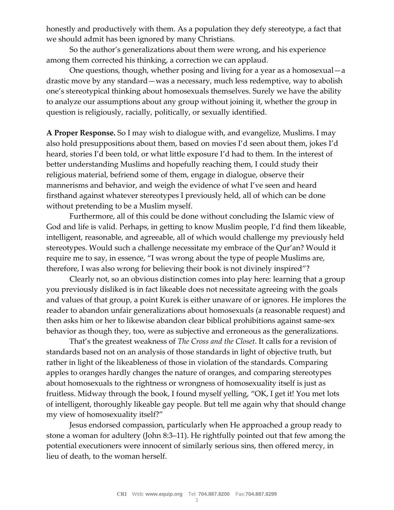honestly and productively with them. As a population they defy stereotype, a fact that we should admit has been ignored by many Christians.

So the author's generalizations about them were wrong, and his experience among them corrected his thinking, a correction we can applaud.

One questions, though, whether posing and living for a year as a homosexual—a drastic move by any standard—was a necessary, much less redemptive, way to abolish one's stereotypical thinking about homosexuals themselves. Surely we have the ability to analyze our assumptions about any group without joining it, whether the group in question is religiously, racially, politically, or sexually identified.

**A Proper Response.** So I may wish to dialogue with, and evangelize, Muslims. I may also hold presuppositions about them, based on movies I'd seen about them, jokes I'd heard, stories I'd been told, or what little exposure I'd had to them. In the interest of better understanding Muslims and hopefully reaching them, I could study their religious material, befriend some of them, engage in dialogue, observe their mannerisms and behavior, and weigh the evidence of what I've seen and heard firsthand against whatever stereotypes I previously held, all of which can be done without pretending to be a Muslim myself.

Furthermore, all of this could be done without concluding the Islamic view of God and life is valid. Perhaps, in getting to know Muslim people, I'd find them likeable, intelligent, reasonable, and agreeable, all of which would challenge my previously held stereotypes. Would such a challenge necessitate my embrace of the Qur'an? Would it require me to say, in essence, "I was wrong about the type of people Muslims are, therefore, I was also wrong for believing their book is not divinely inspired"?

Clearly not, so an obvious distinction comes into play here: learning that a group you previously disliked is in fact likeable does not necessitate agreeing with the goals and values of that group, a point Kurek is either unaware of or ignores. He implores the reader to abandon unfair generalizations about homosexuals (a reasonable request) and then asks him or her to likewise abandon clear biblical prohibitions against same-sex behavior as though they, too, were as subjective and erroneous as the generalizations.

That's the greatest weakness of *The Cross and the Closet*. It calls for a revision of standards based not on an analysis of those standards in light of objective truth, but rather in light of the likeableness of those in violation of the standards. Comparing apples to oranges hardly changes the nature of oranges, and comparing stereotypes about homosexuals to the rightness or wrongness of homosexuality itself is just as fruitless. Midway through the book, I found myself yelling, "OK, I get it! You met lots of intelligent, thoroughly likeable gay people. But tell me again why that should change my view of homosexuality itself?"

Jesus endorsed compassion, particularly when He approached a group ready to stone a woman for adultery (John 8:3–11). He rightfully pointed out that few among the potential executioners were innocent of similarly serious sins, then offered mercy, in lieu of death, to the woman herself.